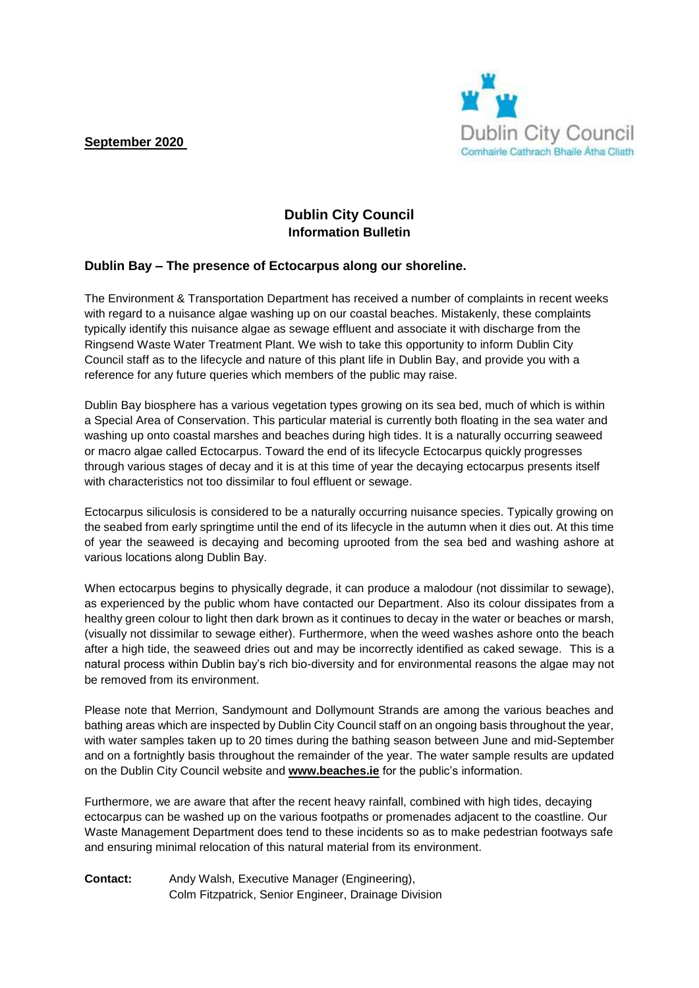**September 2020**



## **Dublin City Council Information Bulletin**

## **Dublin Bay – The presence of Ectocarpus along our shoreline.**

The Environment & Transportation Department has received a number of complaints in recent weeks with regard to a nuisance algae washing up on our coastal beaches. Mistakenly, these complaints typically identify this nuisance algae as sewage effluent and associate it with discharge from the Ringsend Waste Water Treatment Plant. We wish to take this opportunity to inform Dublin City Council staff as to the lifecycle and nature of this plant life in Dublin Bay, and provide you with a reference for any future queries which members of the public may raise.

Dublin Bay biosphere has a various vegetation types growing on its sea bed, much of which is within a Special Area of Conservation. This particular material is currently both floating in the sea water and washing up onto coastal marshes and beaches during high tides. It is a naturally occurring seaweed or macro algae called Ectocarpus. Toward the end of its lifecycle Ectocarpus quickly progresses through various stages of decay and it is at this time of year the decaying ectocarpus presents itself with characteristics not too dissimilar to foul effluent or sewage.

Ectocarpus siliculosis is considered to be a naturally occurring nuisance species. Typically growing on the seabed from early springtime until the end of its lifecycle in the autumn when it dies out. At this time of year the seaweed is decaying and becoming uprooted from the sea bed and washing ashore at various locations along Dublin Bay.

When ectocarpus begins to physically degrade, it can produce a malodour (not dissimilar to sewage), as experienced by the public whom have contacted our Department. Also its colour dissipates from a healthy green colour to light then dark brown as it continues to decay in the water or beaches or marsh, (visually not dissimilar to sewage either). Furthermore, when the weed washes ashore onto the beach after a high tide, the seaweed dries out and may be incorrectly identified as caked sewage. This is a natural process within Dublin bay's rich bio-diversity and for environmental reasons the algae may not be removed from its environment.

Please note that Merrion, Sandymount and Dollymount Strands are among the various beaches and bathing areas which are inspected by Dublin City Council staff on an ongoing basis throughout the year, with water samples taken up to 20 times during the bathing season between June and mid-September and on a fortnightly basis throughout the remainder of the year. The water sample results are updated on the Dublin City Council website and **[www.beaches.ie](http://www.beaches.ie/)** for the public's information.

Furthermore, we are aware that after the recent heavy rainfall, combined with high tides, decaying ectocarpus can be washed up on the various footpaths or promenades adjacent to the coastline. Our Waste Management Department does tend to these incidents so as to make pedestrian footways safe and ensuring minimal relocation of this natural material from its environment.

**Contact:** Andy Walsh, Executive Manager (Engineering), Colm Fitzpatrick, Senior Engineer, Drainage Division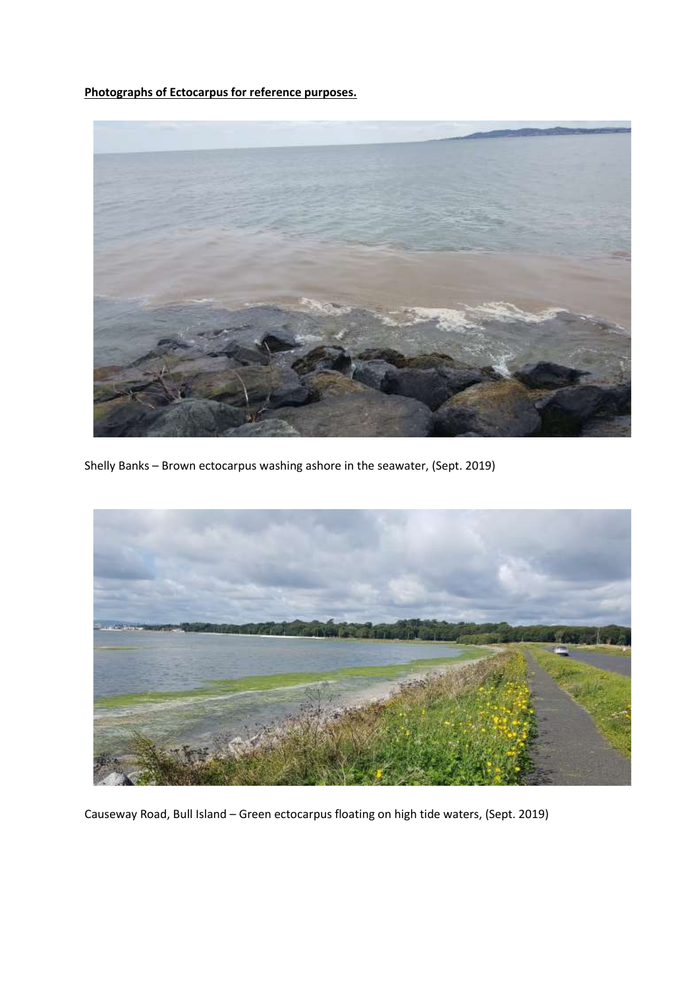**Photographs of Ectocarpus for reference purposes.**



Shelly Banks – Brown ectocarpus washing ashore in the seawater, (Sept. 2019)



Causeway Road, Bull Island – Green ectocarpus floating on high tide waters, (Sept. 2019)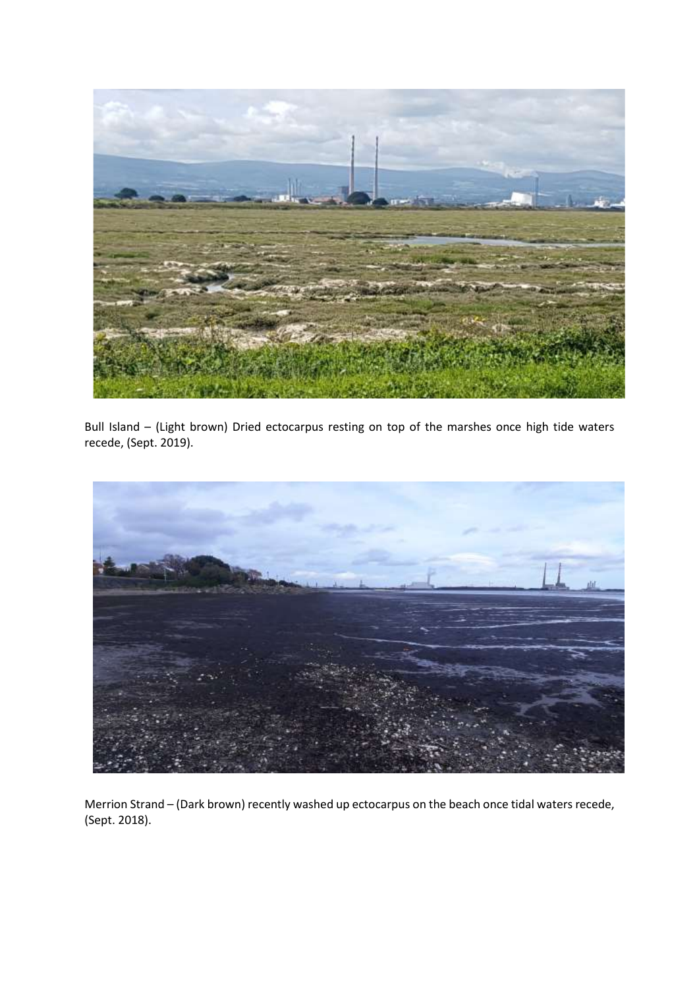

Bull Island – (Light brown) Dried ectocarpus resting on top of the marshes once high tide waters recede, (Sept. 2019).



Merrion Strand – (Dark brown) recently washed up ectocarpus on the beach once tidal waters recede, (Sept. 2018).